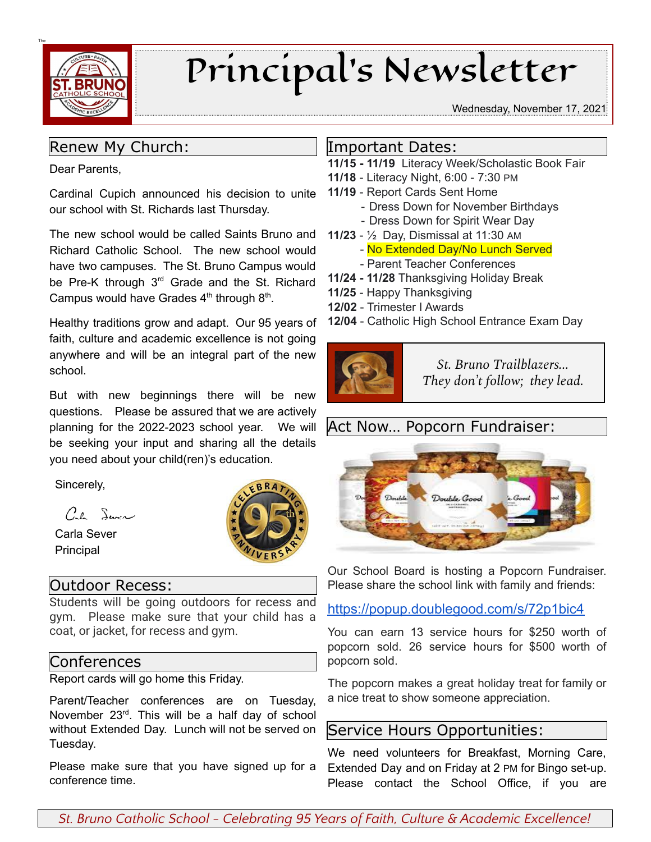

# Principal's Newsletter

#### Wednesday, November 17, 2021

#### Renew My Church:

Dear Parents,

Cardinal Cupich announced his decision to unite our school with St. Richards last Thursday.

The new school would be called Saints Bruno and Richard Catholic School. The new school would have two campuses. The St. Bruno Campus would be Pre-K through  $3<sup>rd</sup>$  Grade and the St. Richard Campus would have Grades  $4<sup>th</sup>$  through  $8<sup>th</sup>$ .

Healthy traditions grow and adapt. Our 95 years of faith, culture and academic excellence is not going anywhere and will be an integral part of the new school.

But with new beginnings there will be new questions. Please be assured that we are actively planning for the 2022-2023 school year. We will be seeking your input and sharing all the details you need about your child(ren)'s education.

Sincerely,

 $C_{\ell}$  Sure

Carla Sever Principal

#### Outdoor Recess:

Students will be going outdoors for recess and gym. Please make sure that your child has a coat, or jacket, for recess and gym.

#### Conferences

Report cards will go home this Friday.

Parent/Teacher conferences are on Tuesday, November 23<sup>rd</sup>. This will be a half day of school without Extended Day. Lunch will not be served on Tuesday.

Please make sure that you have signed up for a conference time.

#### Important Dates:

- **11/15 - 11/19** Literacy Week/Scholastic Book Fair
- **11/18** Literacy Night, 6:00 7:30 PM
- **11/19** Report Cards Sent Home
	- Dress Down for November Birthdays
	- Dress Down for Spirit Wear Day
- **11/23** ½ Day, Dismissal at 11:30 AM
	- No Extended Day/No Lunch Served
	- Parent Teacher Conferences
- **11/24 - 11/28** Thanksgiving Holiday Break
- **11/25** Happy Thanksgiving
- **12/02** Trimester I Awards
- **12/04** Catholic High School Entrance Exam Day



*St. Bruno Trailblazers... They don't follow; they lead.*

## Act Now… Popcorn Fundraiser:



Our School Board is hosting a Popcorn Fundraiser. Please share the school link with family and friends:

#### <https://popup.doublegood.com/s/72p1bic4>

You can earn 13 service hours for \$250 worth of popcorn sold. 26 service hours for \$500 worth of popcorn sold.

The popcorn makes a great holiday treat for family or a nice treat to show someone appreciation.

### Service Hours Opportunities:

We need volunteers for Breakfast, Morning Care, Extended Day and on Friday at 2 PM for Bingo set-up. Please contact the School Office, if you are

*St. Bruno Catholic School - Celebrating 95 Years of Faith, Culture & Academic Excellence!*